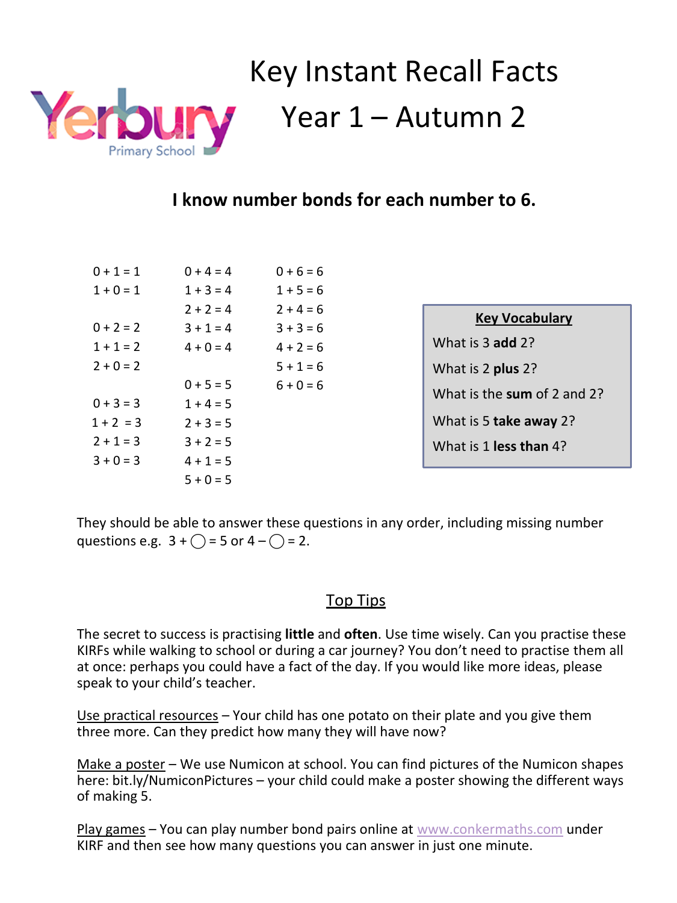

# Key Instant Recall Facts Year 1 – Autumn 2

### **I know number bonds for each number to 6.**

| $0 + 1 = 1$ | $0 + 4 = 4$ | $0 + 6 = 6$ |
|-------------|-------------|-------------|
| $1 + 0 = 1$ | $1 + 3 = 4$ | $1 + 5 = 6$ |
|             | $2 + 2 = 4$ | $2 + 4 = 6$ |
| $0 + 2 = 2$ | $3 + 1 = 4$ | $3 + 3 = 6$ |
| $1 + 1 = 2$ | $4 + 0 = 4$ | $4 + 2 = 6$ |
| $2 + 0 = 2$ |             | $5 + 1 = 6$ |
|             | $0 + 5 = 5$ | $6 + 0 = 6$ |
| $0 + 3 = 3$ | $1 + 4 = 5$ |             |
| $1 + 2 = 3$ | $2 + 3 = 5$ |             |
| $2 + 1 = 3$ | $3 + 2 = 5$ |             |
| $3 + 0 = 3$ | $4 + 1 = 5$ |             |
|             | $5 + 0 = 5$ |             |

| <b>Key Vocabulary</b>       |
|-----------------------------|
| What is 3 add 2?            |
| What is 2 plus 2?           |
| What is the sum of 2 and 2? |
| What is 5 take away 2?      |
| What is 1 less than 4?      |

They should be able to answer these questions in any order, including missing number questions e.g.  $3 + \bigcap = 5$  or  $4 - \bigcap = 2$ .

#### Top Tips

The secret to success is practising **little** and **often**. Use time wisely. Can you practise these KIRFs while walking to school or during a car journey? You don't need to practise them all at once: perhaps you could have a fact of the day. If you would like more ideas, please speak to your child's teacher.

Use practical resources - Your child has one potato on their plate and you give them three more. Can they predict how many they will have now?

Make a poster – We use Numicon at school. You can find pictures of the Numicon shapes here: bit.ly/NumiconPictures – your child could make a poster showing the different ways of making 5.

Play games - You can play number bond pairs online at [www.conkermaths.com](http://www.conkermaths.com/) under [KIRF and then](http://www.conkermaths.com/) see how many questions you can answer in just one minute.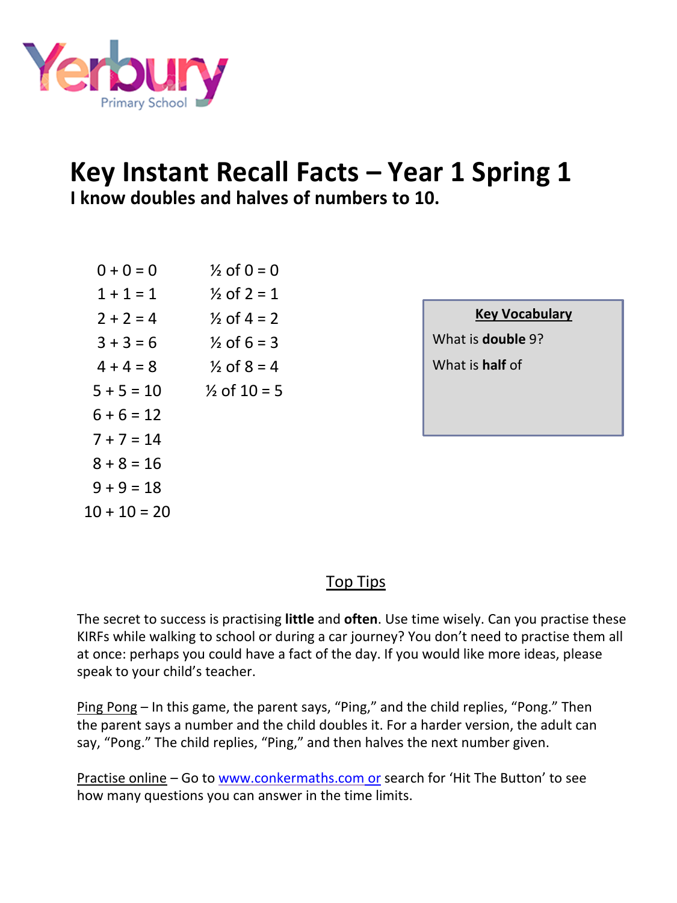

## **Key Instant Recall Facts – Year 1 Spring 1 I know doubles and halves of numbers to 10.**

| $0 + 0 = 0$    | $\frac{1}{2}$ of 0 = 0  |
|----------------|-------------------------|
| $1 + 1 = 1$    | $\frac{1}{2}$ of 2 = 1  |
| $2 + 2 = 4$    | $\frac{1}{2}$ of 4 = 2  |
| $3 + 3 = 6$    | $\frac{1}{2}$ of 6 = 3  |
| $4 + 4 = 8$    | $\frac{1}{2}$ of 8 = 4  |
| $5 + 5 = 10$   | $\frac{1}{2}$ of 10 = 5 |
| $6 + 6 = 12$   |                         |
| $7 + 7 = 14$   |                         |
| $8 + 8 = 16$   |                         |
| $9 + 9 = 18$   |                         |
| $10 + 10 = 20$ |                         |

#### **Key Vocabulary**

What is **double** 9? What is **half** of

#### Top Tips

The secret to success is practising **little** and **often**. Use time wisely. Can you practise these KIRFs while walking to school or during a car journey? You don't need to practise them all at once: perhaps you could have a fact of the day. If you would like more ideas, please speak to your child's teacher.

Ping Pong – In this game, the parent says, "Ping," and the child replies, "Pong." Then the parent says a number and the child doubles it. For a harder version, the adult can say, "Pong." The child replies, "Ping," and then halves the next number given.

Practise online - Go to www.conkermaths.com or search for 'Hit The Button' to see how many questions you can answer in the time limits.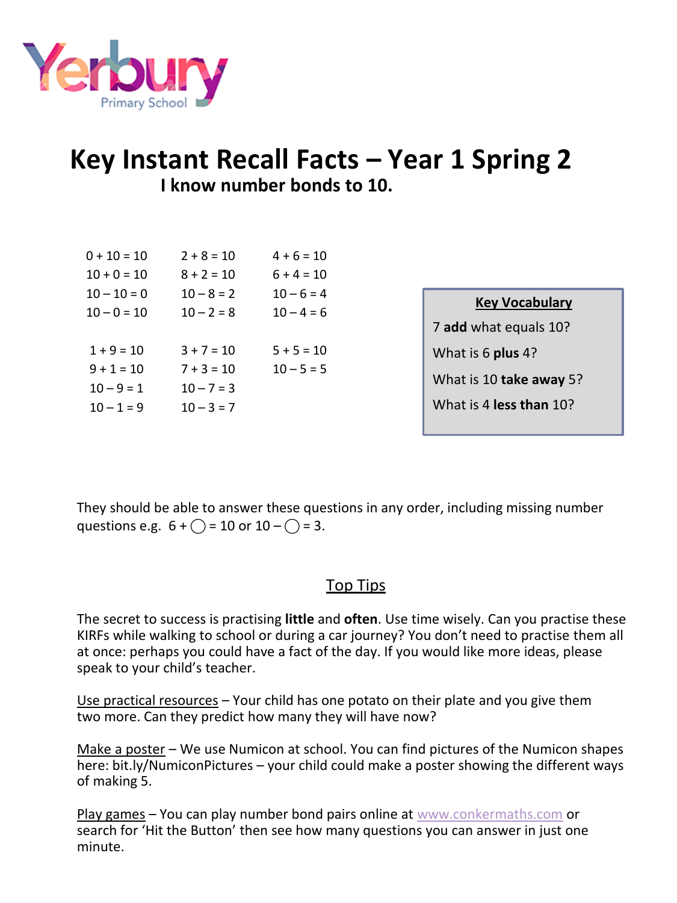

## **Key Instant Recall Facts – Year 1 Spring 2 I know number bonds to 10.**

| $0 + 10 = 10$ | $2 + 8 = 10$ | $4 + 6 = 10$ |                         |  |
|---------------|--------------|--------------|-------------------------|--|
| $10 + 0 = 10$ | $8 + 2 = 10$ | $6 + 4 = 10$ |                         |  |
| $10 - 10 = 0$ | $10 - 8 = 2$ | $10 - 6 = 4$ | <b>Key Vocabulary</b>   |  |
| $10 - 0 = 10$ | $10 - 2 = 8$ | $10 - 4 = 6$ |                         |  |
|               |              |              | 7 add what equals 10?   |  |
| $1 + 9 = 10$  | $3 + 7 = 10$ | $5 + 5 = 10$ | What is 6 plus 4?       |  |
| $9 + 1 = 10$  | $7 + 3 = 10$ | $10 - 5 = 5$ |                         |  |
| $10 - 9 = 1$  | $10 - 7 = 3$ |              | What is 10 take away 5? |  |
| $10 - 1 = 9$  | $10 - 3 = 7$ |              | What is 4 less than 10? |  |
|               |              |              |                         |  |

They should be able to answer these questions in any order, including missing number questions e.g.  $6 + \bigcirc = 10$  or  $10 - \bigcirc = 3$ .

#### Top Tips

The secret to success is practising **little** and **often**. Use time wisely. Can you practise these KIRFs while walking to school or during a car journey? You don't need to practise them all at once: perhaps you could have a fact of the day. If you would like more ideas, please speak to your child's teacher.

Use practical resources - Your child has one potato on their plate and you give them two more. Can they predict how many they will have now?

Make a poster – We use Numicon at school. You can find pictures of the Numicon shapes here: bit.ly/NumiconPictures – your child could make a poster showing the different ways of making 5.

Play games – You can play number bond pairs online at [www.conkermaths.com](http://www.conkermaths.com/) or [search for 'Hit the Button'](http://www.conkermaths.com/) then see how many questions you can answer in just one minute.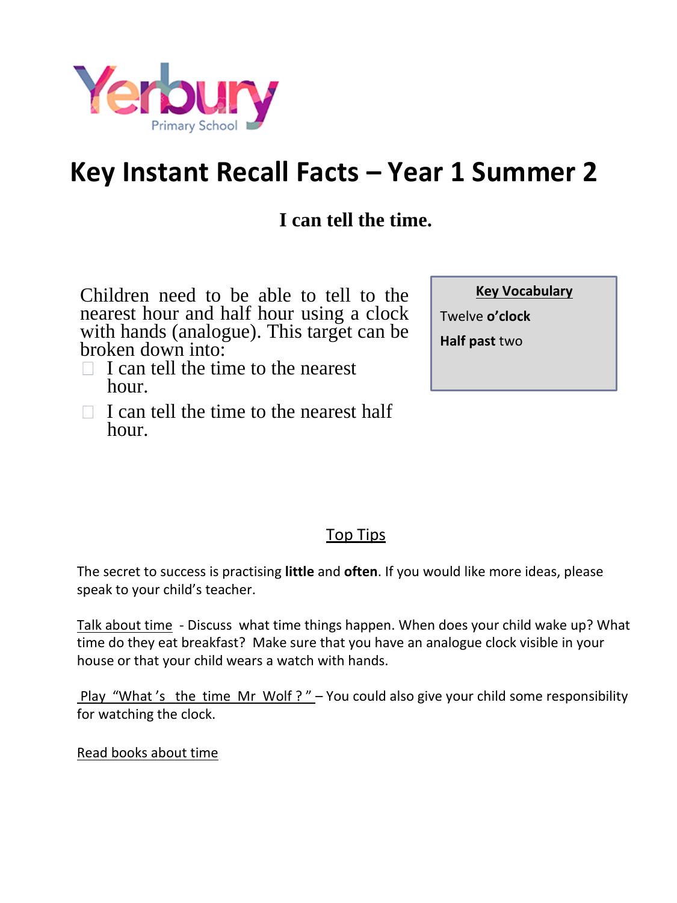

## **Key Instant Recall Facts – Year 1 Summer 2**

## **I can tell the time.**

Children need to be able to tell to the nearest hour and half hour using a clock with hands (analogue). This target can be broken down into:

- $\Box$  I can tell the time to the nearest hour.
- $\Box$  I can tell the time to the nearest half hour.

| <b>Key Vocabulary</b> |
|-----------------------|
| Twelve <b>o'clock</b> |

**Half past** two

#### Top Tips

The secret to success is practising **little** and **often**. If you would like more ideas, please speak to your child's teacher.

Talk about time - Discuss what time things happen. When does your child wake up? What time do they eat breakfast? Make sure that you have an analogue clock visible in your house or that your child wears a watch with hands.

Play "What's the time Mr Wolf ?" - You could also give your child some responsibility for watching the clock.

Read books about time